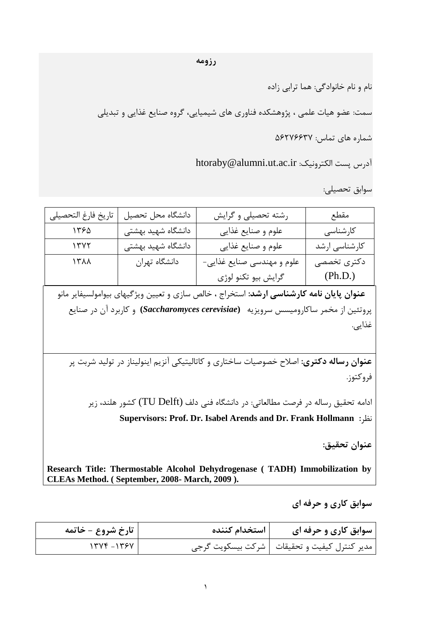نام و نام خانوادگی: هما ترابی زاده

سمت: عضو هیات علمی ، پژوهشکده فناوری های شیمیایی، گروه صنایع غذایی و تبدیلی

شماره های تماس: ۵۶۲۷۶۶۳۷

htoraby@alumni.ut.ac.ir :درس يست الكترونيک

عَابق تحصیلی:

| تاريخ فارغ التحصيلي | دانشگاه محل تحصيل  | رشته تحصیلی و گرایش                                                  | مقطع                   |
|---------------------|--------------------|----------------------------------------------------------------------|------------------------|
| 1550                | دانشگاه شهید بهشتی | علوم و صنايع غذايي                                                   | کارشناسی               |
| 1507                | دانشگاه شهید بهشتی | علوم وصنايع غذايي                                                    | كارشناسى ارشد          |
| $\lambda$           | دانشگاه تهران      | علوم و مهندسی صنایع غذایی-<br>گرايش بيو تكنو لوژي                    | دکتری تخصصی<br>(Ph.D.) |
|                     |                    | بالله والتراهية القرارية والمتحدث المتحدث والمتحدث والمنافس والمناسب |                        |

عنوان پایان نامه کارشناسی ارشد: استخراج ، خالص سازی و تعیین ویژگیهای بیوامولسیفایر مانو پزٍتئیي اس هخوز عبکبرٍهیغظ عزٍیشیِ **(***cerevisiae Saccharomyces* **(**ٍ کبربزد آى در صٌبیغ غذایی.

عنوان رساله دکتری: اصلاح خصوصیات ساختاری و کاتالیتیکی آنزیم اینولیناز در تولید شربت پر فروکتوز.

ادامه تحقیق رساله در فرصت مطالعاتی: در دانشگاه فنی دلف (TU Delft) کشور هلند، زیر **Supervisors: Prof. Dr. Isabel Arends and Dr. Frank Hollmann :**ظزً

**عٌَاى تحقیق:**

**Research Title: Thermostable Alcohol Dehydrogenase ( TADH) Immobilization by CLEAs Method. ( September, 2008- March, 2009 ).**

سوابق کاري و حرفه اي

| تارخ شروع - خاتمه | استخدام کننده | سوابق کاری و حرفه ای                           |
|-------------------|---------------|------------------------------------------------|
| $17YF-175Y$       |               | مدير كنترل كيفيت و تحقيقات   شركت بيسكويت گرجي |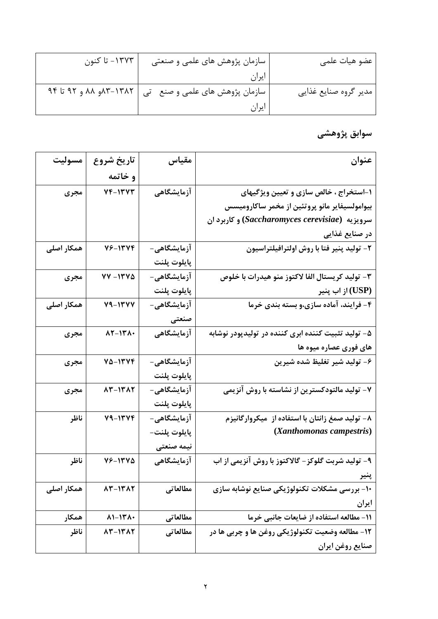| ۱۳۷۳– تا کنون                      | سازمان پژوهش های علمی و صنعتی  | ِ عضو هيات علمي       |
|------------------------------------|--------------------------------|-----------------------|
|                                    | ايران                          |                       |
| ۹۴ تا ۹۲–۸۴مو ۹۸ و ۹۲ تا ۹۴ $\sim$ | سازمان پژوهش های علمی و صنع تی | مدير گروه صنايع غذايي |
|                                    | ايران                          |                       |

**ؾَاثق پػٍّشی** 

| مسوليت     | تاريخ شروع                      | مقياس        | عنوان                                               |
|------------|---------------------------------|--------------|-----------------------------------------------------|
|            | و خاتمه                         |              |                                                     |
| مجرى       | 14-1517                         | آزمایشگاهی   | ۱-استخراج ، خالص سازی و تعیین ویژگیهای              |
|            |                                 |              |                                                     |
|            |                                 |              | بیوامولسیفایر مانو پروتئین از مخمر ساکارومیسس       |
|            |                                 |              | سرویزیه (Saccharomyces cerevisiae) و کاربرد ان      |
|            |                                 |              | در صنایع غذایی                                      |
| همکار اصلی | 16-1314                         | آزمایشگاهی-  | ۲- تولید پنیر فتا با روش اولترافیلتراسیون           |
|            |                                 | پايلوت پلنت  |                                                     |
| مجرى       | 77-1270                         | آزمایشگاهی-  | ۳- تولید کریستال الفا لاکتوز منو هیدرات با خلوص     |
|            |                                 | پايلوت پلنت  | از اب پنیر (USP)                                    |
| همکار اصلی | 79-1377                         | آزمایشگاهی-  | ۴- فرایند، آماده سازی،و بسته بندی خرما              |
|            |                                 | صنعتی        |                                                     |
| مجرى       | $\lambda Y - \lambda Y \lambda$ | آزمایشگاهی   | ۵– تولید تثبیت کننده ابری کننده در تولیدپودر نوشابه |
|            |                                 |              | های فوری عصاره میوه ها                              |
| مجرى       | 70-1374                         | آزمایشگاهی–  | ۶- تولید شیر تغلیظ شده شیرین                        |
|            |                                 | پايلوت پلنت  |                                                     |
| مجرى       | 13-1317                         | آزمایشگاهی-  | ۷- تولید مالتودکسترین از نشاسته با روش آنزیمی       |
|            |                                 | پايلوت پلنت  |                                                     |
| ناظر       | $V9-1VVF$                       | آزمایشگاهی-  | ۸– تولید صمغ زانتان با استفاده از ًمیکروارگانیزم    |
|            |                                 | پايلوت پلنت– | (Xanthomonas campestris)                            |
|            |                                 | نيمه صنعتى   |                                                     |
| ناظر       | 78-1570                         | آزمایشگاهی   | ۹- تولید شربت گلوکز- گالاکتوز با روش آنزیمی از اب   |
|            |                                 |              | پنیر                                                |
| همکار اصلی | 15-1517                         | مطالعاتي     | ۱۰- بررسی مشکلات تکنولوژیکی صنایع نوشابه سازی       |
|            |                                 |              | ايران                                               |
| همكار      | $\lambda$ 1-1۳ $\lambda$ .      | مطالعاتي     | ١١- مطالعه استفاده از ضايعات جانبي خرما             |
| ناظر       | 13-1317                         | مطالعاتي     | ۱۲- مطالعه وضعیت تکنولوژیکی روغن ها و چربی ها در    |
|            |                                 |              | صنايع روغن ايران                                    |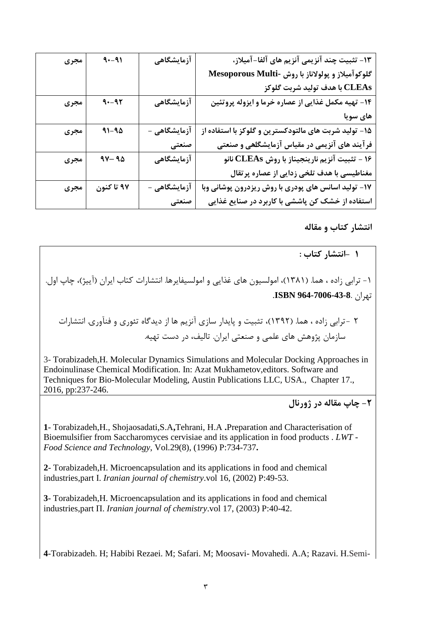| مجرى | $9 - 91$       | آزمایشگاهی   | ۱۳- تثبیت چند آنزیمی آنزیم های آلفا-آمیلاز،           |
|------|----------------|--------------|-------------------------------------------------------|
|      |                |              | گلوکوآمیلاز و پولولاناز با روش -Mesoporous Multi      |
|      |                |              | CLEAs با هدف توليد شربت گلوكز                         |
| مجرى | $9 - 97$       | آزمایشگاهی   | ۱۴- تهیه مکمل غذایی از عصاره خرما و ایزوله پروتئین    |
|      |                |              | های سویا                                              |
| مجرى | $91 - 90$      | آزمایشگاهی - | ۱۵– تولید شربت های مالتودکسترین و گلوکز با استفاده از |
|      |                | صنعتى        | فرآیند های آنزیمی در مقیاس آزمایشگلهی و صنعتی         |
| مجرى | $4V - 9\Delta$ | آزمایشگاهی   | ۱۶ – تثبیت آنزیم نارینجیناز با روش CLEAs نانو         |
|      |                |              | مغناطیسی با هدف تلخی زدایی از عصاره پرتقال            |
| مجرى | ۹۷ تا کنون     | آزمایشگاهی - | ۱۷- تولید اسانس های پودری با روش ریزدرون پوشانی وبا   |
|      |                | صنعتی        | استفاده از خشک کن پاششی با کاربرد در صنایع غذایی      |

انتشار کتاب و مقاله

.<br>1 -انتشار کتاب :

۱ – ترابی زاده ، هما. (۱۳۸۱)، امولسیون های غذایی و امولسیفایرها. انتشارات کتاب ایران (آییژ)، چاپ اول. تْزاى **964-7006-43-8**. **ISBN**.

۲ -ترابی زاده ، هما. (۱۳۹۲)، تثبیت و پایدار سازی آنزیم ها از دیدگاه تئوری و فنآوری. انتشارات سازمان پژوهش های علمی و صنعتی ایران. تالیف، در دست تهیه.

3- Torabizadeh,H. Molecular Dynamics Simulations and Molecular Docking Approaches in Endoinulinase Chemical Modification. In: Azat Mukhametov,editors. Software and Techniques for Bio-Molecular Modeling, Austin Publications LLC, USA., Chapter 17., 2016, pp:237-246.

**-2 چبح هقبلِ زض غٍضًبل**

**1**- Torabizadeh,H., Shojaosadati,S.A**,**Tehrani, H.A **.**Preparation and Characterisation of Bioemulsifier from Saccharomyces cervisiae and its application in food products . *LWT - Food Science and Technology*, Vol.29(8), (1996) P:734-737**.**

**2**- Torabizadeh,H. Microencapsulation and its applications in food and chemical industries,part Ι. *Iranian journal of chemistry*.vol 16, (2002) P:49-53.

**3**- Torabizadeh,H. Microencapsulation and its applications in food and chemical industries,part Π. *Iranian journal of chemistry*.vol 17, (2003) P:40-42.

**4**-Torabizadeh. H; Habibi Rezaei. M; Safari. M; Moosavi- Movahedi. A.A; Razavi. H.Semi-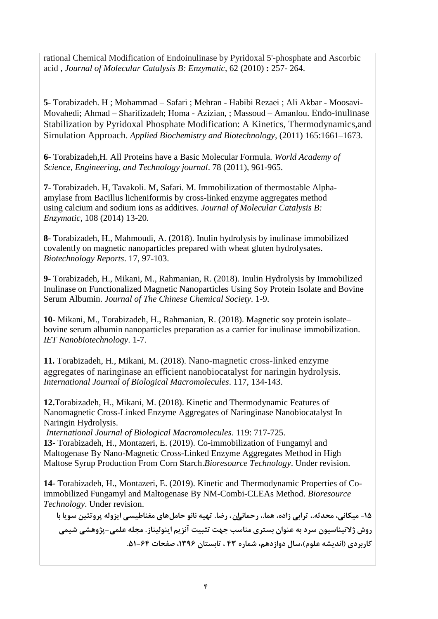rational Chemical Modification of Endoinulinase by Pyridoxal 5'-phosphate and Ascorbic acid , *Journal of Molecular Catalysis B: Enzymatic*, 62 (2010) **:** 257- 264.

**5**- Torabizadeh. H ; Mohammad – Safari ; Mehran - Habibi Rezaei ; Ali Akbar - Moosavi-Movahedi; Ahmad – Sharifizadeh; Homa - Azizian, ; Massoud – Amanlou. Endo-inulinase Stabilization by Pyridoxal Phosphate Modification: A Kinetics, Thermodynamics,and Simulation Approach. *Applied Biochemistry and Biotechnology*, (2011) 165:1661–1673.

**6**- Torabizadeh,H. All Proteins have a Basic Molecular Formula. *World Academy of Science, Engineering, and Technology journal*. 78 (2011), 961-965.

**7**- Torabizadeh. H, Tavakoli. M, Safari. M. Immobilization of thermostable Alphaamylase from Bacillus licheniformis by cross-linked enzyme aggregates method using calcium and sodium ions as additives. *Journal of Molecular Catalysis B: Enzymatic*, 108 (2014) 13-20.

**8**- Torabizadeh, H., Mahmoudi, A. (2018). Inulin hydrolysis by inulinase immobilized covalently on magnetic nanoparticles prepared with wheat gluten hydrolysates. *Biotechnology Reports*. 17, 97-103.

**9**- Torabizadeh, H., Mikani, M., Rahmanian, R. (2018). Inulin Hydrolysis by Immobilized Inulinase on Functionalized Magnetic Nanoparticles Using Soy Protein Isolate and Bovine Serum Albumin. *Journal of The Chinese Chemical Society*. 1-9.

**10**- Mikani, M., Torabizadeh, H., Rahmanian, R. (2018). Magnetic soy protein isolate– bovine serum albumin nanoparticles preparation as a carrier for inulinase immobilization. *IET Nanobiotechnology*. 1-7.

**11.** Torabizadeh, H., Mikani, M. (2018). Nano-magnetic cross-linked enzyme aggregates of naringinase an efficient nanobiocatalyst for naringin hydrolysis. *International Journal of Biological Macromolecules*. 117, 134-143.

**12.**Torabizadeh, H., Mikani, M. (2018). Kinetic and Thermodynamic Features of Nanomagnetic Cross-Linked Enzyme Aggregates of Naringinase Nanobiocatalyst In Naringin Hydrolysis.

*International Journal of Biological Macromolecules*. 119: 717-725.

**13-** Torabizadeh, H., Montazeri, E. (2019). Co-immobilization of Fungamyl and Maltogenase By Nano-Magnetic Cross-Linked Enzyme Aggregates Method in High Maltose Syrup Production From Corn Starch.*Bioresource Technology*. Under revision.

**14-** Torabizadeh, H., Montazeri, E. (2019). Kinetic and Thermodynamic Properties of Coimmobilized Fungamyl and Maltogenase By NM-Combi-CLEAs Method. *Bioresource Technology*. Under revision.

-**15 هیکبًی، هحسث،.ِ تطاثی ظاز،ُ ّوب،. ضحوبًیاى، ضضب. تْیِ ًبًَ حبهلّبی هغٌبطیؿی ایعٍلِ پطٍتئیي ؾَیب ثب**  روش ژِ لاتیناسیون سرد به عنوان بستری مناسب جهت تثبیت آنزیم اینولیناز. مجله علمی-پژوهشی شیمی کاربردی (اندیشه علوم)،سال دوازدهم، شماره ۴۳، تابستان ۱۳۹۶، صفحات ۶۴-۵۱.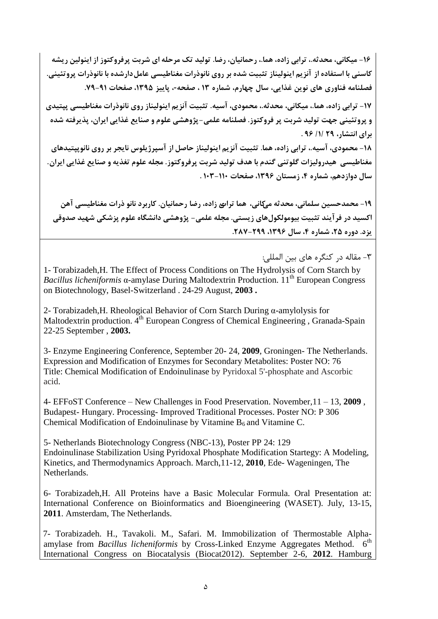16- میکانی، محدثه.، ترابی زاده، هما.، رحمانیان، رضا. تولید تک مرحله ای شربت پرفروکتوز از اینولین ریشه کاسنی با استفاده از آنز بم اینولیناز تثبیت شده بر روی نانوذرات مغناطیسی عامل دارشده با نانوذرات پروتئینی. **فظلٌبهِ فٌبٍضی ّبی ًَیي غصایی، ؾبل چْبضم، شوبضُ 13 ، طفح،-ِ پبییع ،1395 طفحبت .79-91**

**-17 تطاثی ظاز،ُ ّوب،. هیکبًی، هحسث،.ِ هحوَزی، آؾی.ِ تثجیت آًعین ایٌَلیٌبظ ضٍی ًبًَشضات هغٌبطیؿی پپتیسی**  و پروتئینی جهت تولید شربت پر فروکتوز. فصلنامه علمی-پژوهشی علوم و صنایع غذایی ایران، پذیرفته شده **ثطای اًتشبض، 29 /1/ 96 .**

**-18 هحوَزی، آؾی،.ِ تطاثی ظاز،ُ ّوب. تثجیت آًعین ایٌَلیٌبظ حبطل اظ آؾپطغیلَؼ ًبیجط ثط ضٍی ًبًَپپتیسّبی**  هغناطیسی ٍ هیدرولیزات گلوتنی گندم با هدف تولید شربت پرفروکتوز. مجله علوم تغذیه و صنایع غذایی ایران. سال دوازدهم، شماره ۴، زمستان ۱۳۹۶، صفحات **۱۱۰–۱۰۳** .

**-19 هحوسحؿیي ؾلوبًی، هحسثِ هیکبًی، ّوب تطاةی ظاز،ُ ضضب ضحوبًیبى. کبضثطز ًبًَ شضات هغٌبطیؿی آّي**  اکسید در فرآیند تثبیت بیومولکولِ های زیستی. مجله علمی- پژوهشی دانشگاه علوم پزشکی شهید صدوقی **یعز. زٍضُ ،25 شوبضُ ،4 ؾبل ،1396 .287-299**

۳- مقاله در کنگره های بین المللی:

1- Torabizadeh,H. The Effect of Process Conditions on The Hydrolysis of Corn Starch by *Bacillus licheniformis* α-amylase During Maltodextrin Production. 11<sup>th</sup> European Congress on Biotechnology, Basel-Switzerland . 24-29 August, **2003 .**

2- Torabizadeh,H. Rheological Behavior of Corn Starch During α-amylolysis for Maltodextrin production. 4<sup>th</sup> European Congress of Chemical Engineering, Granada-Spain 22-25 September , **2003.**

3- Enzyme Engineering Conference, September 20- 24, **2009**, Groningen- The Netherlands. Expression and Modification of Enzymes for Secondary Metabolites: Poster NO: 76 Title: Chemical Modification of Endoinulinase by Pyridoxal 5'-phosphate and Ascorbic acid.

4- EFFoST Conference – New Challenges in Food Preservation. November,11 – 13, **2009** , Budapest- Hungary. Processing- Improved Traditional Processes. Poster NO: P 306 Chemical Modification of Endoinulinase by Vitamine  $B_6$  and Vitamine C.

5- Netherlands Biotechnology Congress (NBC-13), Poster PP 24: 129 Endoinulinase Stabilization Using Pyridoxal Phosphate Modification Startegy: A Modeling, Kinetics, and Thermodynamics Approach. March,11-12, **2010**, Ede- Wageningen, The Netherlands.

6- Torabizadeh,H. All Proteins have a Basic Molecular Formula. Oral Presentation at: International Conference on Bioinformatics and Bioengineering (WASET). July, 13-15, **2011**. Amsterdam, The Netherlands.

7- Torabizadeh. H., Tavakoli. M., Safari. M. Immobilization of Thermostable Alphaamylase from *Bacillus licheniformis* by Cross-Linked Enzyme Aggregates Method. 6<sup>th</sup> International Congress on Biocatalysis (Biocat2012). September 2-6, **2012**. Hamburg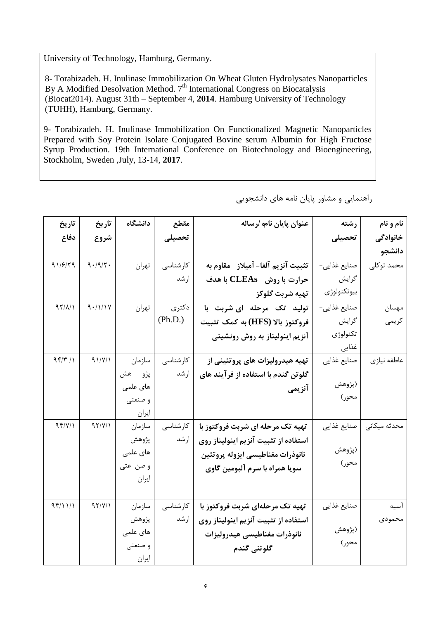University of Technology, Hamburg, Germany.

8- Torabizadeh. H. Inulinase Immobilization On Wheat Gluten Hydrolysates Nanoparticles By A Modified Desolvation Method. 7<sup>th</sup> International Congress on Biocatalysis (Biocat2014). August 31th – September 4, **2014**. Hamburg University of Technology (TUHH), Hamburg, Germany.

9- Torabizadeh. H. Inulinase Immobilization On Functionalized Magnetic Nanoparticles Prepared with Soy Protein Isolate Conjugated Bovine serum Albumin for High Fructose Syrup Production. 19th International Conference on Biotechnology and Bioengineering, Stockholm, Sweden ,July, 13-14, **2017**.

| تاريخ          | تاريخ   | دانشگاه  | مقطع     | عنوان پايان نامه /رساله              | رشته          | نام و نام    |
|----------------|---------|----------|----------|--------------------------------------|---------------|--------------|
| دفاع           | شروع    |          | تحصيلى   |                                      | تحصيلى        | خانوادگی     |
|                |         |          |          |                                      |               | دانشجو       |
| 91/779         | 9.19/7. | تهران    | کارشناسی | تثبيت آنزيم آلفا– آميلاز _ مقاوم به  | صنايع غذايبي- | محمد توكلى   |
|                |         |          | ارشد     | حرارت با روش CLEAs با هدف            | گرايش         |              |
|                |         |          |          | تهيه شربت گلوكز                      | بيوتكنولوژى   |              |
| $97/\lambda/1$ | 9.111Y  | تهران    | دكترى    | تولید تک مرحله ای شربت با            | صنايع غذايي-  | مهسان        |
|                |         |          | (Ph.D.)  | فروكتوز بالا (HFS) به كمك تثبيت      | گرايش         | كريمى        |
|                |         |          |          | آنزیم اینولیناز به روش رونشینی       | تكنولوژي      |              |
|                |         |          |          |                                      | غذایی         |              |
| 95/7/1         | 91/Y/1  | سازمان   | كارشناسى | تهیه هیدرولیزات های پروتئینی از      | صنايع غذايي   | عاطفه نيازي  |
|                |         | پژو هش   | ارشد     | گلوتن گندم با استفاده از فرآیند های  |               |              |
|                |         | های علمی |          | آنزيمى                               | (پژوهش        |              |
|                |         | و صنعتی  |          |                                      | محور)         |              |
|                |         | ايران    |          |                                      |               |              |
| 95/Y/1         | 97/Y/1  | سازمان   | كارشناسى | تهیه تک مرحله ای شربت فروکتوز با     | صنايع غذايي   | محدثه میکانی |
|                |         | پژوهش    | ارشد     | استفاده از تثبيت آنزيم اينوليناز روى |               |              |
|                |         | های علمی |          | نانوذرات مغناطيسي ايزوله پروتئين     | (پژوهش        |              |
|                |         | و صن عتی |          | سویا همراه با سرم آلبومین گاوی       | محور)         |              |
|                |         | ايران    |          |                                      |               |              |
|                |         |          |          |                                      |               |              |
| 95/11/1        | 97/Y/1  | سازمان   | كارشناسى | تهیه تک مرحلهای شربت فروکتوز با      | صنايع غذايي   | آسيه         |
|                |         | پژوهش    | ارشد     | استفاده از تثبيت آنزيم اينوليناز روي |               | محمودى       |
|                |         | های علمی |          | نانوذرات مغناطيسي هيدروليزات         | (پژوهش        |              |
|                |         | و صنعتی  |          | گلوتنى گندم                          | محور)         |              |
|                |         | ايران    |          |                                      |               |              |

راهنمایی و مشاور پایان نامه های دانشجویی